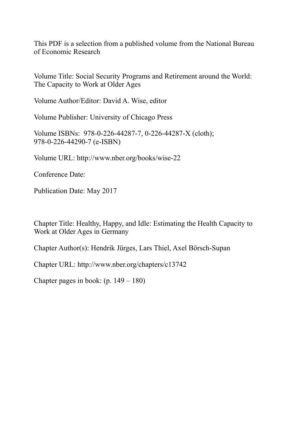This PDF is a selection from a published volume from the National Bureau of Economic Research

Volume Title: Social Security Programs and Retirement around the World: The Capacity to Work at Older Ages

Volume Author/Editor: David A. Wise, editor

Volume Publisher: University of Chicago Press

Volume ISBNs: 978-0-226-44287-7, 0-226-44287-X (cloth); 978-0-226-44290-7 (e-ISBN)

Volume URL: http://www.nber.org/books/wise-22

Conference Date:

Publication Date: May 2017

Chapter Title: Healthy, Happy, and Idle: Estimating the Health Capacity to Work at Older Ages in Germany

Chapter Author(s): Hendrik Jürges, Lars Thiel, Axel Börsch-Supan

Chapter URL: http://www.nber.org/chapters/c13742

Chapter pages in book: (p. 149 – 180)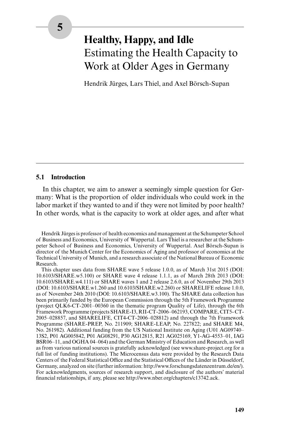# **Healthy, Happy, and Idle** Estimating the Health Capacity to Work at Older Ages in Germany

Hendrik Jürges, Lars Thiel, and Axel Börsch-Supan

## **5.1 Introduction**

In this chapter, we aim to answer a seemingly simple question for Germany: What is the proportion of older individuals who could work in the labor market if they wanted to and if they were not limited by poor health? In other words, what is the capacity to work at older ages, and after what

Hendrik Jürges is professor of health economics and management at the Schumpeter School of Business and Economics, University of Wuppertal. Lars Thiel is a researcher at the Schumpeter School of Business and Economics, University of Wuppertal. Axel Börsch-Supan is director of the Munich Center for the Economics of Aging and professor of economics at the Technical University of Munich, and a research associate of the National Bureau of Economic Research.

This chapter uses data from SHARE wave 5 release 1.0.0, as of March 31st 2015 (DOI: 10.6103/SHARE.w5.100) or SHARE wave 4 release 1.1.1, as of March 28th 2013 (DOI: 10.6103/SHARE.w4.111) or SHARE waves 1 and 2 release 2.6.0, as of November 29th 2013 (DOI: 10.6103/SHARE.w1.260 and 10.6103/SHARE.w2.260) or SHARELIFE release 1.0.0, as of November 24th 2010 (DOI: 10.6103/SHARE.w3.100). The SHARE data collection has been primarily funded by the European Commission through the 5th Framework Programme (project QLK6-CT-2001–00360 in the thematic program Quality of Life), through the 6th Framework Programme (projects SHARE-I3, RII-CT-2006–062193, COMPARE, CIT5- CT-2005–028857, and SHARELIFE, CIT4-CT-2006–028812) and through the 7th Framework Programme (SHARE-PREP, No. 211909; SHARE-LEAP, No. 227822; and SHARE M4, No. 261982). Additional funding from the US National Institute on Aging (U01 AG09740– 13S2, P01 AG005842, P01 AG08291, P30 AG12815, R21 AG025169, Y1-AG-4553–01, IAG BSR06–11, and OGHA 04–064) and the German Ministry of Education and Research, as well as from various national sources is gratefully acknowledged (see www.share-project.org for a full list of funding institutions). The Microcensus data were provided by the Research Data Centers of the Federal Statistical Office and the Statistical Offices of the Länder in Düsseldorf, Germany, analyzed on site (further information: http://www.forschungsdatenzentrum.de/en/). For acknowledgments, sources of research support, and disclosure of the authors' material financial relationships, if any, please see http://www.nber.org/chapters/c13742.ack.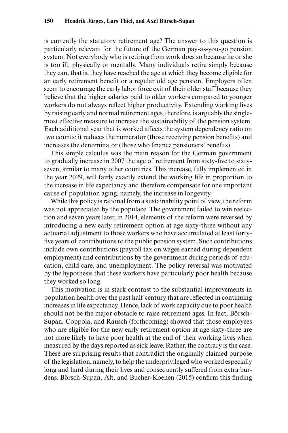is currently the statutory retirement age? The answer to this question is particularly relevant for the future of the German pay-as-you-go pension system. Not everybody who is retiring from work does so because he or she is too ill, physically or mentally. Many individuals retire simply because they can, that is, they have reached the age at which they become eligible for an early retirement benefit or a regular old age pension. Employers often seem to encourage the early labor force exit of their older staff because they believe that the higher salaries paid to older workers compared to younger workers do not always reflect higher productivity. Extending working lives by raising early and normal retirement ages, therefore, is arguably the singlemost effective measure to increase the sustainability of the pension system. Each additional year that is worked affects the system dependency ratio on two counts: it reduces the numerator (those receiving pension benefits) and increases the denominator (those who finance pensioners' benefits).

This simple calculus was the main reason for the German government to gradually increase in 2007 the age of retirement from sixty-five to sixtyseven, similar to many other countries. This increase, fully implemented in the year 2029, will fairly exactly extend the working life in proportion to the increase in life expectancy and therefore compensate for one important cause of population aging, namely, the increase in longevity.

While this policy is rational from a sustainability point of view, the reform was not appreciated by the populace. The government failed to win reelection and seven years later, in 2014, elements of the reform were reversed by introducing a new early retirement option at age sixty-three without any actuarial adjustment to those workers who have accumulated at least fortyfive years of contributions to the public pension system. Such contributions include own contributions (payroll tax on wages earned during dependent employment) and contributions by the government during periods of education, child care, and unemployment. The policy reversal was motivated by the hypothesis that these workers have particularly poor health because they worked so long.

This motivation is in stark contrast to the substantial improvements in population health over the past half century that are reflected in continuing increases in life expectancy. Hence, lack of work capacity due to poor health should not be the major obstacle to raise retirement ages. In fact, Börsch-Supan, Coppola, and Rausch (forthcoming) showed that those employees who are eligible for the new early retirement option at age sixty-three are not more likely to have poor health at the end of their working lives when measured by the days reported as sick leave. Rather, the contrary is the case. These are surprising results that contradict the originally claimed purpose of the legislation, namely, to help the underprivileged who worked especially long and hard during their lives and consequently suffered from extra burdens. Börsch-Supan, Alt, and Bucher-Koenen (2015) confirm this finding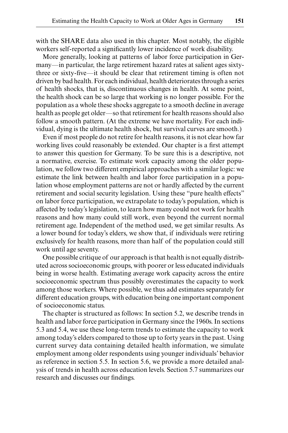with the SHARE data also used in this chapter. Most notably, the eligible workers self-reported a significantly lower incidence of work disability.

More generally, looking at patterns of labor force participation in Germany—in particular, the large retirement hazard rates at salient ages sixtythree or sixty-five—it should be clear that retirement timing is often not driven by bad health. For each individual, health deteriorates through a series of health shocks, that is, discontinuous changes in health. At some point, the health shock can be so large that working is no longer possible. For the population as a whole these shocks aggregate to a smooth decline in average health as people get older—so that retirement for health reasons should also follow a smooth pattern. (At the extreme we have mortality. For each individual, dying is the ultimate health shock, but survival curves are smooth.)

Even if most people do not retire for health reasons, it is not clear how far working lives could reasonably be extended. Our chapter is a first attempt to answer this question for Germany. To be sure this is a descriptive, not a normative, exercise. To estimate work capacity among the older population, we follow two different empirical approaches with a similar logic: we estimate the link between health and labor force participation in a population whose employment patterns are not or hardly affected by the current retirement and social security legislation. Using these "pure health effects" on labor force participation, we extrapolate to today's population, which is affected by today's legislation, to learn how many could not work for health reasons and how many could still work, even beyond the current normal retirement age. Independent of the method used, we get similar results. As a lower bound for today's elders, we show that, if individuals were retiring exclusively for health reasons, more than half of the population could still work until age seventy.

One possible critique of our approach is that health is not equally distributed across socioeconomic groups, with poorer or less educated individuals being in worse health. Estimating average work capacity across the entire socioeconomic spectrum thus possibly overestimates the capacity to work among those workers. Where possible, we thus add estimates separately for different education groups, with education being one important component of socioeconomic status.

The chapter is structured as follows: In section 5.2, we describe trends in health and labor force participation in Germany since the 1960s. In sections 5.3 and 5.4, we use these long-term trends to estimate the capacity to work among today's elders compared to those up to forty years in the past. Using current survey data containing detailed health information, we simulate employment among older respondents using younger individuals' behavior as reference in section 5.5. In section 5.6, we provide a more detailed analysis of trends in health across education levels. Section 5.7 summarizes our research and discusses our findings.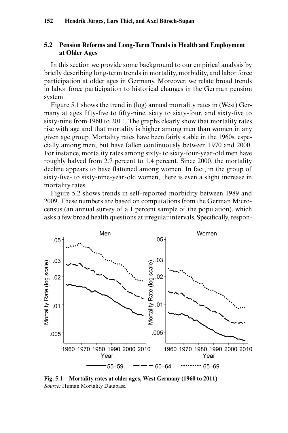# **5.2 Pension Reforms and Long-Term Trends in Health and Employment at Older Ages**

In this section we provide some background to our empirical analysis by briefly describing long-term trends in mortality, morbidity, and labor force participation at older ages in Germany. Moreover, we relate broad trends in labor force participation to historical changes in the German pension system.

Figure 5.1 shows the trend in (log) annual mortality rates in (West) Germany at ages fifty-five to fifty-nine, sixty to sixty-four, and sixty-five to sixty-nine from 1960 to 2011. The graphs clearly show that mortality rates rise with age and that mortality is higher among men than women in any given age group. Mortality rates have been fairly stable in the 1960s, especially among men, but have fallen continuously between 1970 and 2000. For instance, mortality rates among sixty- to sixty-four-year-old men have roughly halved from 2.7 percent to 1.4 percent. Since 2000, the mortality decline appears to have flattened among women. In fact, in the group of sixty-five- to sixty-nine-year-old women, there is even a slight increase in mortality rates.

Figure 5.2 shows trends in self-reported morbidity between 1989 and 2009. These numbers are based on computations from the German Microcensus (an annual survey of a 1 percent sample of the population), which asks a few broad health questions at irregular intervals. Specifically, respon-



**Fig. 5.1 Mortality rates at older ages, West Germany (1960 to 2011)** *Source:* Human Mortality Database.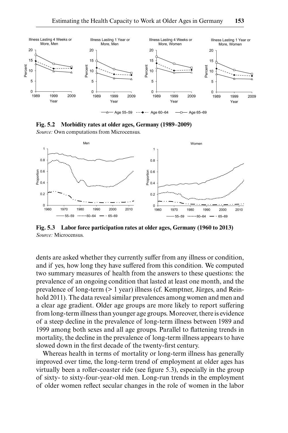

**Fig. 5.2 Morbidity rates at older ages, Germany (1989–2009)**

*Source:* Own computations from Microcensus.



**Fig. 5.3 Labor force participation rates at older ages, Germany (1960 to 2013)** *Source:* Microcensus.

dents are asked whether they currently suffer from any illness or condition, and if yes, how long they have suffered from this condition. We computed two summary measures of health from the answers to these questions: the prevalence of an ongoing condition that lasted at least one month, and the prevalence of long-term (> 1 year) illness (cf. Kemptner, Jürges, and Reinhold 2011). The data reveal similar prevalences among women and men and a clear age gradient. Older age groups are more likely to report suffering from long-term illness than younger age groups. Moreover, there is evidence of a steep decline in the prevalence of long-term illness between 1989 and 1999 among both sexes and all age groups. Parallel to flattening trends in mortality, the decline in the prevalence of long-term illness appears to have slowed down in the first decade of the twenty-first century.

Whereas health in terms of mortality or long-term illness has generally improved over time, the long-term trend of employment at older ages has virtually been a roller-coaster ride (see figure 5.3), especially in the group of sixty- to sixty-four-year-old men. Long-run trends in the employment of older women reflect secular changes in the role of women in the labor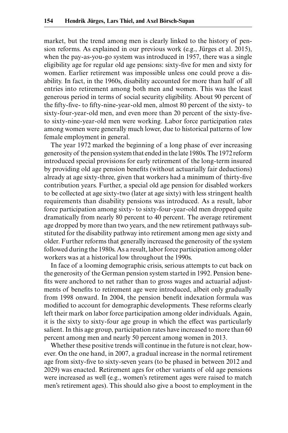market, but the trend among men is clearly linked to the history of pension reforms. As explained in our previous work (e.g., Jürges et al. 2015), when the pay-as-you-go system was introduced in 1957, there was a single eligibility age for regular old age pensions: sixty-five for men and sixty for women. Earlier retirement was impossible unless one could prove a disability. In fact, in the 1960s, disability accounted for more than half of all entries into retirement among both men and women. This was the least generous period in terms of social security eligibility. About 90 percent of the fifty-five- to fifty-nine-year-old men, almost 80 percent of the sixty- to sixty-four-year-old men, and even more than 20 percent of the sixty-fiveto sixty-nine-year-old men were working. Labor force participation rates among women were generally much lower, due to historical patterns of low female employment in general.

The year 1972 marked the beginning of a long phase of ever increasing generosity of the pension system that ended in the late 1980s. The 1972 reform introduced special provisions for early retirement of the long-term insured by providing old age pension benefits (without actuarially fair deductions) already at age sixty-three, given that workers had a minimum of thirty-five contribution years. Further, a special old age pension for disabled workers to be collected at age sixty-two (later at age sixty) with less stringent health requirements than disability pensions was introduced. As a result, labor force participation among sixty- to sixty-four-year-old men dropped quite dramatically from nearly 80 percent to 40 percent. The average retirement age dropped by more than two years, and the new retirement pathways substituted for the disability pathway into retirement among men age sixty and older. Further reforms that generally increased the generosity of the system followed during the 1980s. As a result, labor force participation among older workers was at a historical low throughout the 1990s.

In face of a looming demographic crisis, serious attempts to cut back on the generosity of the German pension system started in 1992. Pension benefits were anchored to net rather than to gross wages and actuarial adjustments of benefits to retirement age were introduced, albeit only gradually from 1998 onward. In 2004, the pension benefit indexation formula was modified to account for demographic developments. These reforms clearly left their mark on labor force participation among older individuals. Again, it is the sixty to sixty-four age group in which the effect was particularly salient. In this age group, participation rates have increased to more than 60 percent among men and nearly 50 percent among women in 2013.

Whether these positive trends will continue in the future is not clear, however. On the one hand, in 2007, a gradual increase in the normal retirement age from sixty-five to sixty-seven years (to be phased in between 2012 and 2029) was enacted. Retirement ages for other variants of old age pensions were increased as well (e.g., women's retirement ages were raised to match men's retirement ages). This should also give a boost to employment in the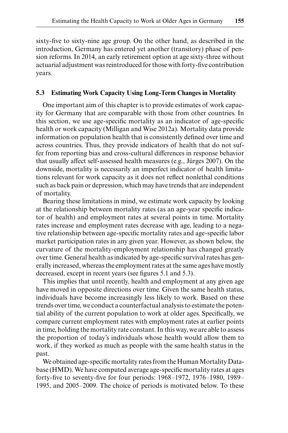sixty-five to sixty-nine age group. On the other hand, as described in the introduction, Germany has entered yet another (transitory) phase of pension reforms. In 2014, an early retirement option at age sixty-three without actuarial adjustment was reintroduced for those with forty-five contribution years.

# **5.3 Estimating Work Capacity Using Long-Term Changes in Mortality**

One important aim of this chapter is to provide estimates of work capacity for Germany that are comparable with those from other countries. In this section, we use age-specific mortality as an indicator of age-specific health or work capacity (Milligan and Wise 2012a). Mortality data provide information on population health that is consistently defined over time and across countries. Thus, they provide indicators of health that do not suffer from reporting bias and cross-cultural differences in response behavior that usually affect self-assessed health measures (e.g., Jürges 2007). On the downside, mortality is necessarily an imperfect indicator of health limitations relevant for work capacity as it does not reflect nonlethal conditions such as back pain or depression, which may have trends that are independent of mortality.

Bearing these limitations in mind, we estimate work capacity by looking at the relationship between mortality rates (as an age-year specific indicator of health) and employment rates at several points in time. Mortality rates increase and employment rates decrease with age, leading to a negative relationship between age-specific mortality rates and age-specific labor market participation rates in any given year. However, as shown below, the curvature of the mortality-employment relationship has changed greatly over time. General health as indicated by age-specific survival rates has generally increased, whereas the employment rates at the same ages have mostly decreased, except in recent years (see figures 5.1 and 5.3).

This implies that until recently, health and employment at any given age have moved in opposite directions over time. Given the same health status, individuals have become increasingly less likely to work. Based on these trends over time, we conduct a counterfactual analysis to estimate the potential ability of the current population to work at older ages. Specifically, we compare current employment rates with employment rates at earlier points in time, holding the mortality rate constant. In this way, we are able to assess the proportion of today's individuals whose health would allow them to work, if they worked as much as people with the same health status in the past.

We obtained age-specific mortality rates from the Human Mortality Database (HMD). We have computed average age-specific mortality rates at ages forty-five to seventy-five for four periods: 1968–1972, 1976–1980, 1989– 1995, and 2005–2009. The choice of periods is motivated below. To these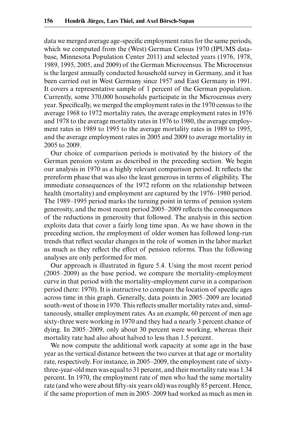data we merged average age-specific employment rates for the same periods, which we computed from the (West) German Census 1970 (IPUMS database, Minnesota Population Center 2011) and selected years (1976, 1978, 1989, 1995, 2005, and 2009) of the German Microcensus. The Microcensus is the largest annually conducted household survey in Germany, and it has been carried out in West Germany since 1957 and East Germany in 1991. It covers a representative sample of 1 percent of the German population. Currently, some 370,000 households participate in the Microcensus every year. Specifically, we merged the employment rates in the 1970 census to the average 1968 to 1972 mortality rates, the average employment rates in 1976 and 1978 to the average mortality rates in 1976 to 1980, the average employment rates in 1989 to 1995 to the average mortality rates in 1989 to 1995, and the average employment rates in 2005 and 2009 to average mortality in 2005 to 2009.

Our choice of comparison periods is motivated by the history of the German pension system as described in the preceding section. We begin our analysis in 1970 as a highly relevant comparison period. It reflects the prereform phase that was also the least generous in terms of eligibility. The immediate consequences of the 1972 reform on the relationship between health (mortality) and employment are captured by the 1976–1980 period. The 1989–1995 period marks the turning point in terms of pension system generosity, and the most recent period 2005–2009 reflects the consequences of the reductions in generosity that followed. The analysis in this section exploits data that cover a fairly long time span. As we have shown in the preceding section, the employment of older women has followed long-run trends that reflect secular changes in the role of women in the labor market as much as they reflect the effect of pension reforms. Thus the following analyses are only performed for men.

Our approach is illustrated in figure 5.4. Using the most recent period (2005–2009) as the base period, we compare the mortality-employment curve in that period with the mortality-employment curve in a comparison period (here: 1970). It is instructive to compare the location of specific ages across time in this graph. Generally, data points in 2005–2009 are located south-west of those in 1970. This reflects smaller mortality rates and, simultaneously, smaller employment rates. As an example, 60 percent of men age sixty-three were working in 1970 and they had a nearly 3 percent chance of dying. In 2005–2009, only about 30 percent were working, whereas their mortality rate had also about halved to less than 1.5 percent.

We now compute the additional work capacity at some age in the base year as the vertical distance between the two curves at that age or mortality rate, respectively. For instance, in 2005–2009, the employment rate of sixtythree-year-old men was equal to 31 percent, and their mortality rate was 1.34 percent. In 1970, the employment rate of men who had the same mortality rate (and who were about fifty-six years old) was roughly 85 percent. Hence, if the same proportion of men in 2005–2009 had worked as much as men in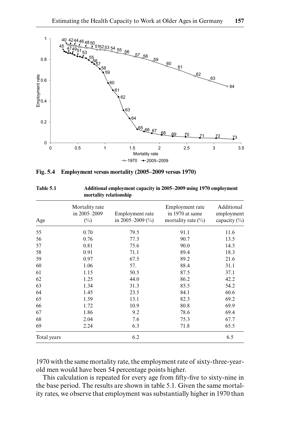

|  | Fig. 5.4 Employment versus mortality (2005–2009 versus 1970) |  |  |
|--|--------------------------------------------------------------|--|--|
|  |                                                              |  |  |

| Age         | Mortality rate<br>in 2005-2009<br>$(\%)$ | Employment rate<br>in 2005–2009 $(\%$ | Employment rate<br>in 1970 at same<br>mortality rate $(\%)$ | Additional<br>employment<br>capacity $(\%)$ |
|-------------|------------------------------------------|---------------------------------------|-------------------------------------------------------------|---------------------------------------------|
| 55          | 0.70                                     | 79.5                                  | 91.1                                                        | 11.6                                        |
| 56          | 0.76                                     | 77.3                                  | 90.7                                                        | 13.5                                        |
| 57          | 0.81                                     | 75.6                                  | 90.0                                                        | 14.5                                        |
| 58          | 0.91                                     | 71.1                                  | 89.4                                                        | 18.3                                        |
| 59          | 0.97                                     | 67.5                                  | 89.2                                                        | 21.6                                        |
| 60          | 1.06                                     | 57.                                   | 88.4                                                        | 31.1                                        |
| 61          | 1.15                                     | 50.5                                  | 87.5                                                        | 37.1                                        |
| 62          | 1.25                                     | 44.0                                  | 86.2                                                        | 42.2                                        |
| 63          | 1.34                                     | 31.3                                  | 85.5                                                        | 54.2                                        |
| 64          | 1.45                                     | 23.5                                  | 84.1                                                        | 60.6                                        |
| 65          | 1.59                                     | 13.1                                  | 82.3                                                        | 69.2                                        |
| 66          | 1.72                                     | 10.9                                  | 80.8                                                        | 69.9                                        |
| 67          | 1.86                                     | 9.2                                   | 78.6                                                        | 69.4                                        |
| 68          | 2.04                                     | 7.6                                   | 75.3                                                        | 67.7                                        |
| 69          | 2.24                                     | 6.3                                   | 71.8                                                        | 65.5                                        |
| Total years |                                          | 6.2                                   |                                                             | 6.5                                         |

**Table 5.1 Additional employment capacity in 2005–2009 using 1970 employment mortality relationship**

1970 with the same mortality rate, the employment rate of sixty-three-yearold men would have been 54 percentage points higher.

This calculation is repeated for every age from fifty-five to sixty-nine in the base period. The results are shown in table 5.1. Given the same mortality rates, we observe that employment was substantially higher in 1970 than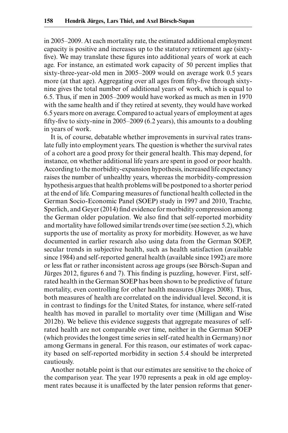in 2005–2009. At each mortality rate, the estimated additional employment capacity is positive and increases up to the statutory retirement age (sixtyfive). We may translate these figures into additional years of work at each age. For instance, an estimated work capacity of 50 percent implies that sixty-three-year-old men in 2005–2009 would on average work 0.5 years more (at that age). Aggregating over all ages from fifty-five through sixtynine gives the total number of additional years of work, which is equal to 6.5. Thus, if men in 2005–2009 would have worked as much as men in 1970 with the same health and if they retired at seventy, they would have worked 6.5 years more on average. Compared to actual years of employment at ages fifty-five to sixty-nine in 2005–2009 (6.2 years), this amounts to a doubling in years of work.

It is, of course, debatable whether improvements in survival rates translate fully into employment years. The question is whether the survival rates of a cohort are a good proxy for their general health. This may depend, for instance, on whether additional life years are spent in good or poor health. According to the morbidity-expansion hypothesis, increased life expectancy raises the number of unhealthy years, whereas the morbidity-compression hypothesis argues that health problems will be postponed to a shorter period at the end of life. Comparing measures of functional health collected in the German Socio-Economic Panel (SOEP) study in 1997 and 2010, Trachte, Sperlich, and Geyer (2014) find evidence for morbidity compression among the German older population. We also find that self-reported morbidity and mortality have followed similar trends over time (see section 5.2), which supports the use of mortality as proxy for morbidity. However, as we have documented in earlier research also using data from the German SOEP, secular trends in subjective health, such as health satisfaction (available since 1984) and self-reported general health (available since 1992) are more or less flat or rather inconsistent across age groups (see Börsch-Supan and Jürges 2012, figures 6 and 7). This finding is puzzling, however. First, selfrated health in the German SOEP has been shown to be predictive of future mortality, even controlling for other health measures (Jürges 2008). Thus, both measures of health are correlated on the individual level. Second, it is in contrast to findings for the United States, for instance, where self-rated health has moved in parallel to mortality over time (Milligan and Wise 2012b). We believe this evidence suggests that aggregate measures of selfrated health are not comparable over time, neither in the German SOEP (which provides the longest time series in self-rated health in Germany) nor among Germans in general. For this reason, our estimates of work capacity based on self-reported morbidity in section 5.4 should be interpreted cautiously.

Another notable point is that our estimates are sensitive to the choice of the comparison year. The year 1970 represents a peak in old age employment rates because it is unaffected by the later pension reforms that gener-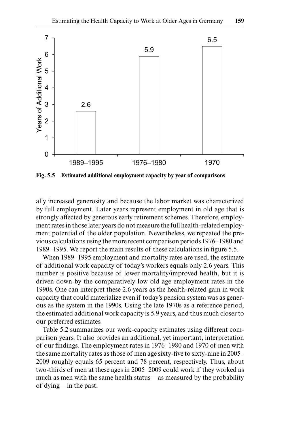

**Fig. 5.5 Estimated additional employment capacity by year of comparisons**

ally increased generosity and because the labor market was characterized by full employment. Later years represent employment in old age that is strongly affected by generous early retirement schemes. Therefore, employment rates in those later years do not measure the full health-related employment potential of the older population. Nevertheless, we repeated the previous calculations using the more recent comparison periods 1976–1980 and 1989–1995. We report the main results of these calculations in figure 5.5.

When 1989–1995 employment and mortality rates are used, the estimate of additional work capacity of today's workers equals only 2.6 years. This number is positive because of lower mortality/improved health, but it is driven down by the comparatively low old age employment rates in the 1990s. One can interpret these 2.6 years as the health-related gain in work capacity that could materialize even if today's pension system was as generous as the system in the 1990s. Using the late 1970s as a reference period, the estimated additional work capacity is 5.9 years, and thus much closer to our preferred estimates.

Table 5.2 summarizes our work-capacity estimates using different comparison years. It also provides an additional, yet important, interpretation of our findings. The employment rates in 1976–1980 and 1970 of men with the same mortality rates as those of men age sixty-five to sixty-nine in 2005– 2009 roughly equals 65 percent and 78 percent, respectively. Thus, about two-thirds of men at these ages in 2005–2009 could work if they worked as much as men with the same health status—as measured by the probability of dying—in the past.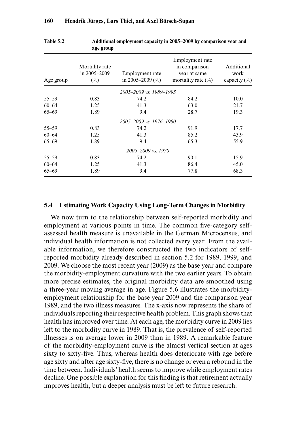| Age group | Mortality rate<br>in 2005-2009<br>$(\%)$ | Employment rate<br>in 2005–2009 $(\%$ ) | Employment rate<br>in comparison<br>year at same<br>mortality rate $(\%)$ | Additional<br>work<br>capacity $(\% )$ |
|-----------|------------------------------------------|-----------------------------------------|---------------------------------------------------------------------------|----------------------------------------|
|           |                                          | 2005-2009 vs. 1989-1995                 |                                                                           |                                        |
| $55 - 59$ | 0.83                                     | 74.2                                    | 84.2                                                                      | 10.0                                   |
| $60 - 64$ | 1.25                                     | 41.3                                    | 63.0                                                                      | 21.7                                   |
| $65 - 69$ | 1.89                                     | 9.4                                     | 28.7                                                                      | 19.3                                   |
|           |                                          | 2005–2009 vs. 1976–1980                 |                                                                           |                                        |
| $55 - 59$ | 0.83                                     | 74.2                                    | 91.9                                                                      | 17.7                                   |
| $60 - 64$ | 1.25                                     | 41.3                                    | 85.2                                                                      | 43.9                                   |
| $65 - 69$ | 1.89                                     | 9.4                                     | 65.3                                                                      | 55.9                                   |
|           |                                          | 2005-2009 vs. 1970                      |                                                                           |                                        |
| $55 - 59$ | 0.83                                     | 74.2                                    | 90.1                                                                      | 15.9                                   |
| $60 - 64$ | 1.25                                     | 41.3                                    | 86.4                                                                      | 45.0                                   |
| $65 - 69$ | 1.89                                     | 9.4                                     | 77.8                                                                      | 68.3                                   |

#### **Table 5.2 Additional employment capacity in 2005–2009 by comparison year and age group**

## **5.4 Estimating Work Capacity Using Long-Term Changes in Morbidity**

We now turn to the relationship between self-reported morbidity and employment at various points in time. The common five-category selfassessed health measure is unavailable in the German Microcensus, and individual health information is not collected every year. From the available information, we therefore constructed the two indicators of selfreported morbidity already described in section 5.2 for 1989, 1999, and 2009. We choose the most recent year (2009) as the base year and compare the morbidity-employment curvature with the two earlier years. To obtain more precise estimates, the original morbidity data are smoothed using a three-year moving average in age. Figure 5.6 illustrates the morbidityemployment relationship for the base year 2009 and the comparison year 1989, and the two illness measures. The x-axis now represents the share of individuals reporting their respective health problem. This graph shows that health has improved over time. At each age, the morbidity curve in 2009 lies left to the morbidity curve in 1989. That is, the prevalence of self-reported illnesses is on average lower in 2009 than in 1989. A remarkable feature of the morbidity-employment curve is the almost vertical section at ages sixty to sixty-five. Thus, whereas health does deteriorate with age before age sixty and after age sixty-five, there is no change or even a rebound in the time between. Individuals' health seems to improve while employment rates decline. One possible explanation for this finding is that retirement actually improves health, but a deeper analysis must be left to future research.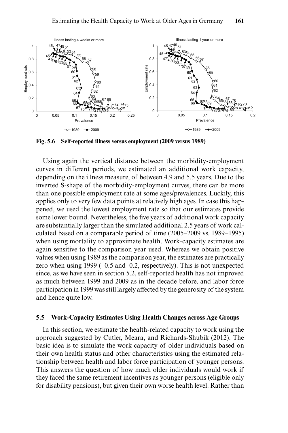

**Fig. 5.6 Self-reported illness versus employment (2009 versus 1989)**

Using again the vertical distance between the morbidity-employment curves in different periods, we estimated an additional work capacity, depending on the illness measure, of between 4.9 and 5.5 years. Due to the inverted S-shape of the morbidity-employment curves, there can be more than one possible employment rate at some ages/prevalences. Luckily, this applies only to very few data points at relatively high ages. In case this happened, we used the lowest employment rate so that our estimates provide some lower bound. Nevertheless, the five years of additional work capacity are substantially larger than the simulated additional 2.5 years of work calculated based on a comparable period of time (2005–2009 vs. 1989–1995) when using mortality to approximate health. Work-capacity estimates are again sensitive to the comparison year used. Whereas we obtain positive values when using 1989 as the comparison year, the estimates are practically zero when using 1999 (–0.5 and–0.2, respectively). This is not unexpected since, as we have seen in section 5.2, self-reported health has not improved as much between 1999 and 2009 as in the decade before, and labor force participation in 1999 was still largely affected by the generosity of the system and hence quite low.

#### **5.5 Work-Capacity Estimates Using Health Changes across Age Groups**

In this section, we estimate the health-related capacity to work using the approach suggested by Cutler, Meara, and Richards-Shubik (2012). The basic idea is to simulate the work capacity of older individuals based on their own health status and other characteristics using the estimated relationship between health and labor force participation of younger persons. This answers the question of how much older individuals would work if they faced the same retirement incentives as younger persons (eligible only for disability pensions), but given their own worse health level. Rather than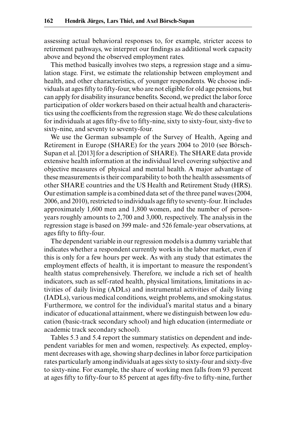assessing actual behavioral responses to, for example, stricter access to retirement pathways, we interpret our findings as additional work capacity above and beyond the observed employment rates.

This method basically involves two steps, a regression stage and a simulation stage. First, we estimate the relationship between employment and health, and other characteristics, of younger respondents. We choose individuals at ages fifty to fifty-four, who are not eligible for old age pensions, but can apply for disability insurance benefits. Second, we predict the labor force participation of older workers based on their actual health and characteristics using the coefficients from the regression stage. We do these calculations for individuals at ages fifty-five to fifty-nine, sixty to sixty-four, sixty-five to sixty-nine, and seventy to seventy-four.

We use the German subsample of the Survey of Health, Ageing and Retirement in Europe (SHARE) for the years 2004 to 2010 (see Börsch-Supan et al. [2013] for a description of SHARE). The SHARE data provide extensive health information at the individual level covering subjective and objective measures of physical and mental health. A major advantage of these measurements is their comparability to both the health assessments of other SHARE countries and the US Health and Retirement Study (HRS). Our estimation sample is a combined data set of the three panel waves (2004, 2006, and 2010), restricted to individuals age fifty to seventy-four. It includes approximately 1,600 men and 1,800 women, and the number of personyears roughly amounts to 2,700 and 3,000, respectively. The analysis in the regression stage is based on 399 male- and 526 female-year observations, at ages fifty to fifty-four.

The dependent variable in our regression models is a dummy variable that indicates whether a respondent currently works in the labor market, even if this is only for a few hours per week. As with any study that estimates the employment effects of health, it is important to measure the respondent's health status comprehensively. Therefore, we include a rich set of health indicators, such as self-rated health, physical limitations, limitations in activities of daily living (ADLs) and instrumental activities of daily living (IADLs), various medical conditions, weight problems, and smoking status. Furthermore, we control for the individual's marital status and a binary indicator of educational attainment, where we distinguish between low education (basic-track secondary school) and high education (intermediate or academic track secondary school).

Tables 5.3 and 5.4 report the summary statistics on dependent and independent variables for men and women, respectively. As expected, employment decreases with age, showing sharp declines in labor force participation rates particularly among individuals at ages sixty to sixty-four and sixty-five to sixty-nine. For example, the share of working men falls from 93 percent at ages fifty to fifty-four to 85 percent at ages fifty-five to fifty-nine, further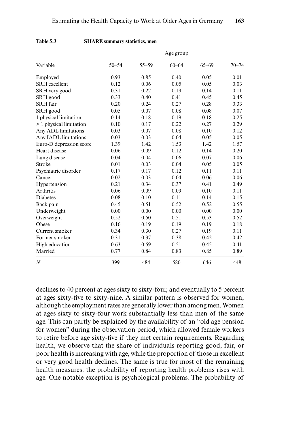|                         |           |           | Age group |           | $70 - 74$ |
|-------------------------|-----------|-----------|-----------|-----------|-----------|
| Variable                | $50 - 54$ | $55 - 59$ | $60 - 64$ | $65 - 69$ |           |
| Employed                | 0.93      | 0.85      | 0.40      | 0.05      | 0.01      |
| <b>SRH</b> excellent    | 0.12      | 0.06      | 0.05      | 0.05      | 0.03      |
| SRH very good           | 0.31      | 0.22      | 0.19      | 0.14      | 0.11      |
| SRH good                | 0.33      | 0.40      | 0.41      | 0.45      | 0.45      |
| <b>SRH</b> fair         | 0.20      | 0.24      | 0.27      | 0.28      | 0.33      |
| SRH good                | 0.05      | 0.07      | 0.08      | 0.08      | 0.07      |
| 1 physical limitation   | 0.14      | 0.18      | 0.19      | 0.18      | 0.25      |
| > 1 physical limitation | 0.10      | 0.17      | 0.22      | 0.27      | 0.29      |
| Any ADL limitations     | 0.03      | 0.07      | 0.08      | 0.10      | 0.12      |
| Any IADL limitations    | 0.03      | 0.03      | 0.04      | 0.05      | 0.05      |
| Euro-D depression score | 1.39      | 1.42      | 1.53      | 1.42      | 1.57      |
| Heart disease           | 0.06      | 0.09      | 0.12      | 0.14      | 0.20      |
| Lung disease            | 0.04      | 0.04      | 0.06      | 0.07      | 0.06      |
| Stroke                  | 0.01      | 0.03      | 0.04      | 0.05      | 0.05      |
| Psychiatric disorder    | 0.17      | 0.17      | 0.12      | 0.11      | 0.11      |
| Cancer                  | 0.02      | 0.03      | 0.04      | 0.06      | 0.06      |
| Hypertension            | 0.21      | 0.34      | 0.37      | 0.41      | 0.49      |
| Arthritis               | 0.06      | 0.09      | 0.09      | 0.10      | 0.11      |
| <b>Diabetes</b>         | 0.08      | 0.10      | 0.11      | 0.14      | 0.15      |
| Back pain               | 0.45      | 0.51      | 0.52      | 0.52      | 0.55      |
| Underweight             | 0.00      | 0.00      | 0.00      | 0.00      | 0.00      |
| Overweight              | 0.52      | 0.50      | 0.51      | 0.53      | 0.52      |
| Obese                   | 0.16      | 0.19      | 0.19      | 0.19      | 0.18      |
| Current smoker          | 0.34      | 0.30      | 0.27      | 0.19      | 0.11      |
| Former smoker           | 0.31      | 0.37      | 0.38      | 0.42      | 0.42      |
| High education          | 0.63      | 0.59      | 0.51      | 0.45      | 0.41      |
| Married                 | 0.77      | 0.84      | 0.83      | 0.85      | 0.89      |
| $\boldsymbol{N}$        | 399       | 484       | 580       | 646       | 448       |

#### **Table 5.3 SHARE summary statistics, men**

declines to 40 percent at ages sixty to sixty-four, and eventually to 5 percent at ages sixty-five to sixty-nine. A similar pattern is observed for women, although the employment rates are generally lower than among men. Women at ages sixty to sixty-four work substantially less than men of the same age. This can partly be explained by the availability of an "old age pension for women" during the observation period, which allowed female workers to retire before age sixty-five if they met certain requirements. Regarding health, we observe that the share of individuals reporting good, fair, or poor health is increasing with age, while the proportion of those in excellent or very good health declines. The same is true for most of the remaining health measures: the probability of reporting health problems rises with age. One notable exception is psychological problems. The probability of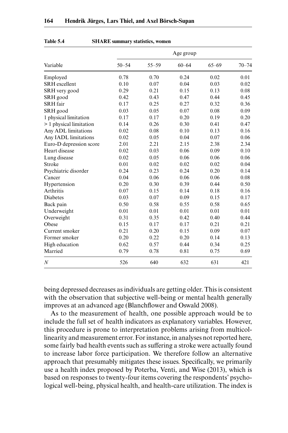|                         |           |           | Age group |           | $70 - 74$ |
|-------------------------|-----------|-----------|-----------|-----------|-----------|
| Variable                | $50 - 54$ | $55 - 59$ | $60 - 64$ | $65 - 69$ |           |
| Employed                | 0.78      | 0.70      | 0.24      | 0.02      | 0.01      |
| <b>SRH</b> excellent    | 0.10      | 0.07      | 0.04      | 0.03      | 0.02      |
| SRH very good           | 0.29      | 0.21      | 0.15      | 0.13      | 0.08      |
| SRH good                | 0.42      | 0.43      | 0.47      | 0.44      | 0.45      |
| <b>SRH</b> fair         | 0.17      | 0.25      | 0.27      | 0.32      | 0.36      |
| SRH good                | 0.03      | 0.05      | 0.07      | 0.08      | 0.09      |
| 1 physical limitation   | 0.17      | 0.17      | 0.20      | 0.19      | 0.20      |
| > 1 physical limitation | 0.14      | 0.26      | 0.30      | 0.41      | 0.47      |
| Any ADL limitations     | 0.02      | 0.08      | 0.10      | 0.13      | 0.16      |
| Any IADL limitations    | 0.02      | 0.05      | 0.04      | 0.07      | 0.06      |
| Euro-D depression score | 2.01      | 2.21      | 2.15      | 2.38      | 2.34      |
| Heart disease           | 0.02      | 0.03      | 0.06      | 0.09      | 0.10      |
| Lung disease            | 0.02      | 0.05      | 0.06      | 0.06      | 0.06      |
| Stroke                  | 0.01      | 0.02      | 0.02      | 0.02      | 0.04      |
| Psychiatric disorder    | 0.24      | 0.23      | 0.24      | 0.20      | 0.14      |
| Cancer                  | 0.04      | 0.06      | 0.06      | 0.06      | 0.08      |
| Hypertension            | 0.20      | 0.30      | 0.39      | 0.44      | 0.50      |
| Arthritis               | 0.07      | 0.15      | 0.14      | 0.18      | 0.16      |
| Diabetes                | 0.03      | 0.07      | 0.09      | 0.15      | 0.17      |
| Back pain               | 0.50      | 0.58      | 0.55      | 0.58      | 0.65      |
| Underweight             | 0.01      | 0.01      | 0.01      | 0.01      | 0.01      |
| Overweight              | 0.31      | 0.35      | 0.42      | 0.40      | 0.44      |
| Obese                   | 0.15      | 0.17      | 0.17      | 0.21      | 0.21      |
| Current smoker          | 0.21      | 0.20      | 0.15      | 0.09      | 0.07      |
| Former smoker           | 0.20      | 0.22      | 0.20      | 0.14      | 0.13      |
| High education          | 0.62      | 0.57      | 0.44      | 0.34      | 0.25      |
| Married                 | 0.79      | 0.78      | 0.81      | 0.75      | 0.69      |
| $\boldsymbol{N}$        | 526       | 640       | 632       | 631       | 421       |

# **Table 5.4 SHARE summary statistics, women**

being depressed decreases as individuals are getting older. This is consistent with the observation that subjective well-being or mental health generally improves at an advanced age (Blanchflower and Oswald 2008).

As to the measurement of health, one possible approach would be to include the full set of health indicators as explanatory variables. However, this procedure is prone to interpretation problems arising from multicollinearity and measurement error. For instance, in analyses not reported here, some fairly bad health events such as suffering a stroke were actually found to increase labor force participation. We therefore follow an alternative approach that presumably mitigates these issues. Specifically, we primarily use a health index proposed by Poterba, Venti, and Wise (2013), which is based on responses to twenty-four items covering the respondents' psychological well-being, physical health, and health-care utilization. The index is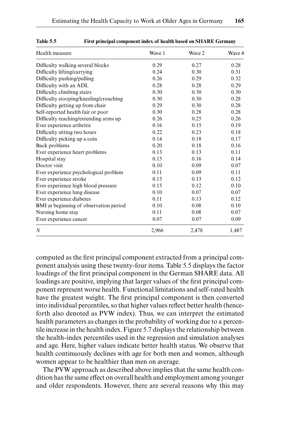| Health measure                         | Wave 1 | Wave 2 | Wave 4 |
|----------------------------------------|--------|--------|--------|
| Difficulty walking several blocks      | 0.29   | 0.27   | 0.28   |
| Difficulty lifting/carrying            | 0.24   | 0.30   | 0.31   |
| Difficulty pushing/pulling             | 0.26   | 0.29   | 0.32   |
| Difficulty with an ADL                 | 0.28   | 0.28   | 0.29   |
| Difficulty climbing stairs             | 0.30   | 0.30   | 0.30   |
| Difficulty stooping/kneeling/crouching | 0.30   | 0.30   | 0.28   |
| Difficulty getting up from chair       | 0.29   | 0.30   | 0.28   |
| Self-reported health fair or poor      | 0.30   | 0.28   | 0.28   |
| Difficulty reaching/extending arms up  | 0.26   | 0.25   | 0.26   |
| Ever experience arthritis              | 0.16   | 0.15   | 0.19   |
| Difficulty sitting two hours           | 0.22   | 0.23   | 0.18   |
| Difficulty picking up a coin           | 0.14   | 0.18   | 0.17   |
| Back problems                          | 0.20   | 0.18   | 0.16   |
| Ever experience heart problems         | 0.13   | 0.13   | 0.11   |
| Hospital stay                          | 0.15   | 0.16   | 0.14   |
| Doctor visit                           | 0.10   | 0.09   | 0.07   |
| Ever experience psychological problem  | 0.11   | 0.09   | 0.11   |
| Ever experience stroke                 | 0.13   | 0.13   | 0.12   |
| Ever experience high blood pressure    | 0.15   | 0.12   | 0.10   |
| Ever experience lung disease           | 0.10   | 0.07   | 0.07   |
| Ever experience diabetes               | 0.11   | 0.13   | 0.12   |
| BMI at beginning of observation period | 0.10   | 0.08   | 0.10   |
| Nursing home stay                      | 0.11   | 0.08   | 0.07   |
| Ever experience cancer                 | 0.07   | 0.07   | 0.09   |
| $\boldsymbol{N}$                       | 2,966  | 2,478  | 1,487  |
|                                        |        |        |        |

**Table 5.5 First principal component index of health based on SHARE Germany**

computed as the first principal component extracted from a principal component analysis using these twenty-four items. Table 5.5 displays the factor loadings of the first principal component in the German SHARE data. All loadings are positive, implying that larger values of the first principal component represent worse health. Functional limitations and self-rated health have the greatest weight. The first principal component is then converted into individual percentiles, so that higher values reflect better health (henceforth also denoted as PVW index). Thus, we can interpret the estimated health parameters as changes in the probability of working due to a percentile increase in the health index. Figure 5.7 displays the relationship between the health-index percentiles used in the regression and simulation analyses and age. Here, higher values indicate better health status. We observe that health continuously declines with age for both men and women, although women appear to be healthier than men on average.

The PVW approach as described above implies that the same health condition has the same effect on overall health and employment among younger and older respondents. However, there are several reasons why this may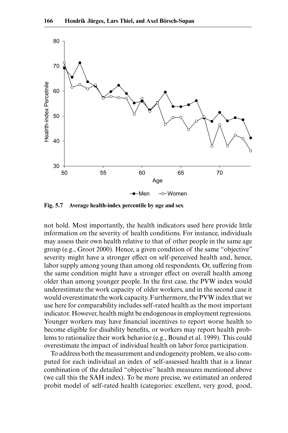

**Fig. 5.7 Average health-index percentile by age and sex**

not hold. Most importantly, the health indicators used here provide little information on the severity of health conditions. For instance, individuals may assess their own health relative to that of other people in the same age group (e.g., Groot 2000). Hence, a given condition of the same "objective" severity might have a stronger effect on self-perceived health and, hence, labor supply among young than among old respondents. Or, suffering from the same condition might have a stronger effect on overall health among older than among younger people. In the first case, the PVW index would underestimate the work capacity of older workers, and in the second case it would overestimate the work capacity. Furthermore, the PVW index that we use here for comparability includes self-rated health as the most important indicator. However, health might be endogenous in employment regressions. Younger workers may have financial incentives to report worse health to become eligible for disability benefits, or workers may report health problems to rationalize their work behavior (e.g., Bound et al. 1999). This could overestimate the impact of individual health on labor force participation.

To address both the measurement and endogeneity problem, we also computed for each individual an index of self-assessed health that is a linear combination of the detailed "objective" health measures mentioned above (we call this the SAH index). To be more precise, we estimated an ordered probit model of self-rated health (categories: excellent, very good, good,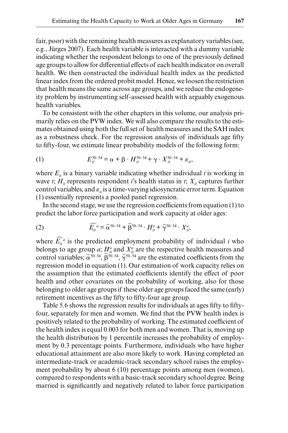fair, poor) with the remaining health measures as explanatory variables (see, e.g., Jürges 2007). Each health variable is interacted with a dummy variable indicating whether the respondent belongs to one of the previously defined age groups to allow for differential effects of each health indicator on overall health. We then constructed the individual health index as the predicted linear index from the ordered probit model. Hence, we loosen the restriction that health means the same across age groups, and we reduce the endogeneity problem by instrumenting self-assessed health with arguably exogenous health variables.

To be consistent with the other chapters in this volume, our analysis primarily relies on the PVW index. We will also compare the results to the estimates obtained using both the full set of health measures and the SAH index as a robustness check. For the regression analysis of individuals age fifty to fifty-four, we estimate linear probability models of the following form:

(1) 
$$
E_{it}^{50-54} = \alpha + \beta \cdot H_{it}^{50-54} + \gamma \cdot X_{it}^{50-54} + \varepsilon_{it},
$$

where  $E_i$  is a binary variable indicating whether individual *i* is working in wave *t*;  $H_i$  represents respondent *i*'s health status in *t*;  $X_i$  captures further control variables, and  $\varepsilon_{ii}$  is a time-varying idiosyncratic error term. Equation (1) essentially represents a pooled panel regression.

In the second stage, we use the regression coefficients from equation (1) to predict the labor force participation and work capacity at older ages:

(2) 
$$
\widehat{E_{it}}^a = \widehat{\alpha}^{50-54} + \widehat{\beta}^{50-54} \cdot H_{it}^a + \widehat{\gamma}^{50-54} \cdot X_{it}^a,
$$

where  $\widehat{E}_{it}^a$  is the predicted employment probability of individual *i* who belongs to age group *a*;  $H_a^a$  and  $X_a^a$  are the respective health measures and control variables;  $\hat{\alpha}^{50-54}$ ,  $\hat{\beta}^{50-54}$ ,  $\hat{\gamma}^{50-54}$  are the estimated coefficients from the regression model in equation (1). Our estimation of work capacity relies on the assumption that the estimated coefficients identify the effect of poor health and other covariates on the probability of working, also for those belonging to older age groups if these older age groups faced the same (early) retirement incentives as the fifty to fifty-four age group.

Table 5.6 shows the regression results for individuals at ages fifty to fiftyfour, separately for men and women. We find that the PVW health index is positively related to the probability of working. The estimated coefficient of the health index is equal 0.003 for both men and women. That is, moving up the health distribution by 1 percentile increases the probability of employment by 0.3 percentage points. Furthermore, individuals who have higher educational attainment are also more likely to work. Having completed an intermediate-track or academic-track secondary school raises the employment probability by about 6 (10) percentage points among men (women), compared to respondents with a basic-track secondary school degree. Being married is significantly and negatively related to labor force participation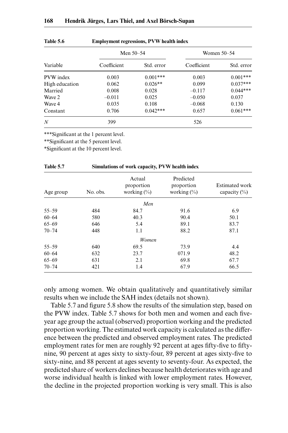| 168 |  |  |  |  |  | Hendrik Jürges, Lars Thiel, and Axel Börsch-Supan |
|-----|--|--|--|--|--|---------------------------------------------------|
|-----|--|--|--|--|--|---------------------------------------------------|

|                  | Men 50–54   |            | Women 50–54 |            |  |
|------------------|-------------|------------|-------------|------------|--|
| Variable         | Coefficient | Std. error | Coefficient | Std. error |  |
| PVW index        | 0.003       | $0.001***$ | 0.003       | $0.001***$ |  |
| High education   | 0.062       | $0.026**$  | 0.099       | $0.037***$ |  |
| Married          | 0.008       | 0.028      | $-0.117$    | $0.044***$ |  |
| Wave 2           | $-0.011$    | 0.025      | $-0.050$    | 0.037      |  |
| Wave 4           | 0.035       | 0.108      | $-0.068$    | 0.130      |  |
| Constant         | 0.706       | $0.042***$ | 0.657       | $0.061***$ |  |
| $\boldsymbol{N}$ | 399         | 526        |             |            |  |

| <b>Table 5.6</b> | <b>Employment regressions, PVW health index</b> |  |
|------------------|-------------------------------------------------|--|
|                  |                                                 |  |

**Table 5.7 Simulations of work capacity, PVW health index**

\*\*\*Significant at the 1 percent level.

\*\*Significant at the 5 percent level.

\*Significant at the 10 percent level.

| 1 apre 5.7<br>SHIRT SHIRT OF WORK Capacity, F V W Health Higgs |          |                                         |                                           |                                    |  |
|----------------------------------------------------------------|----------|-----------------------------------------|-------------------------------------------|------------------------------------|--|
| Age group                                                      | No. obs. | Actual<br>proportion<br>working $(\% )$ | Predicted<br>proportion<br>working $(\%)$ | Estimated work<br>capacity $(\% )$ |  |
|                                                                |          | Men                                     |                                           |                                    |  |
| $55 - 59$                                                      | 484      | 84.7                                    | 91.6                                      | 6.9                                |  |
| $60 - 64$                                                      | 580      | 40.3                                    | 90.4                                      | 50.1                               |  |
| $65 - 69$                                                      | 646      | 5.4                                     | 89.1                                      | 83.7                               |  |
| $70 - 74$                                                      | 448      | 1.1                                     | 88.2                                      | 87.1                               |  |
|                                                                |          | Women                                   |                                           |                                    |  |
| $55 - 59$                                                      | 640      | 69.5                                    | 73.9                                      | 4.4                                |  |
| $60 - 64$                                                      | 632      | 23.7                                    | 071.9                                     | 48.2                               |  |
| $65 - 69$                                                      | 631      | 2.1                                     | 69.8                                      | 67.7                               |  |
| $70 - 74$                                                      | 421      | 1.4                                     | 67.9                                      | 66.5                               |  |

only among women. We obtain qualitatively and quantitatively similar results when we include the SAH index (details not shown).

Table 5.7 and figure 5.8 show the results of the simulation step, based on the PVW index. Table 5.7 shows for both men and women and each fiveyear age group the actual (observed) proportion working and the predicted proportion working. The estimated work capacity is calculated as the difference between the predicted and observed employment rates. The predicted employment rates for men are roughly 92 percent at ages fifty-five to fiftynine, 90 percent at ages sixty to sixty-four, 89 percent at ages sixty-five to sixty-nine, and 88 percent at ages seventy to seventy-four. As expected, the predicted share of workers declines because health deteriorates with age and worse individual health is linked with lower employment rates. However, the decline in the projected proportion working is very small. This is also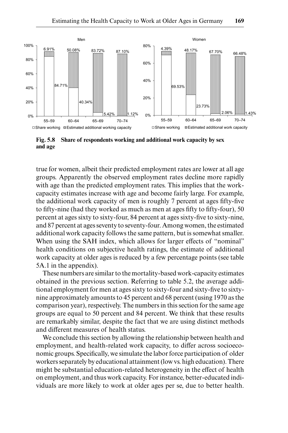

**Fig. 5.8 Share of respondents working and additional work capacity by sex and age**

true for women, albeit their predicted employment rates are lower at all age groups. Apparently the observed employment rates decline more rapidly with age than the predicted employment rates. This implies that the workcapacity estimates increase with age and become fairly large. For example, the additional work capacity of men is roughly 7 percent at ages fifty-five to fifty-nine (had they worked as much as men at ages fifty to fifty-four), 50 percent at ages sixty to sixty-four, 84 percent at ages sixty-five to sixty-nine, and 87 percent at ages seventy to seventy-four. Among women, the estimated additional work capacity follows the same pattern, but is somewhat smaller. When using the SAH index, which allows for larger effects of "nominal" health conditions on subjective health ratings, the estimate of additional work capacity at older ages is reduced by a few percentage points (see table 5A.1 in the appendix).

These numbers are similar to the mortality-based work-capacity estimates obtained in the previous section. Referring to table 5.2, the average additional employment for men at ages sixty to sixty-four and sixty-five to sixtynine approximately amounts to 45 percent and 68 percent (using 1970 as the comparison year), respectively. The numbers in this section for the same age groups are equal to 50 percent and 84 percent. We think that these results are remarkably similar, despite the fact that we are using distinct methods and different measures of health status.

We conclude this section by allowing the relationship between health and employment, and health-related work capacity, to differ across socioeconomic groups. Specifically, we simulate the labor force participation of older workers separately by educational attainment (low vs. high education). There might be substantial education-related heterogeneity in the effect of health on employment, and thus work capacity. For instance, better-educated individuals are more likely to work at older ages per se, due to better health.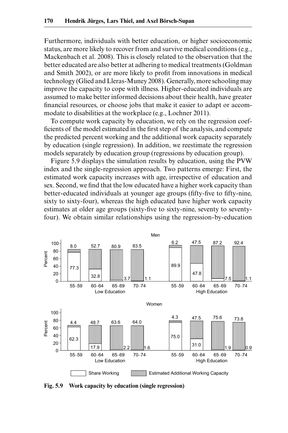Furthermore, individuals with better education, or higher socioeconomic status, are more likely to recover from and survive medical conditions (e.g., Mackenbach et al. 2008). This is closely related to the observation that the better educated are also better at adhering to medical treatments (Goldman and Smith 2002), or are more likely to profit from innovations in medical technology (Glied and Lleras-Muney 2008). Generally, more schooling may improve the capacity to cope with illness. Higher-educated individuals are assumed to make better informed decisions about their health, have greater financial resources, or choose jobs that make it easier to adapt or accommodate to disabilities at the workplace (e.g., Lochner 2011).

To compute work capacity by education, we rely on the regression coefficients of the model estimated in the first step of the analysis, and compute the predicted percent working and the additional work capacity separately by education (single regression). In addition, we reestimate the regression models separately by education group (regressions by education group).

Figure 5.9 displays the simulation results by education, using the PVW index and the single-regression approach. Two patterns emerge: First, the estimated work capacity increases with age, irrespective of education and sex. Second, we find that the low educated have a higher work capacity than better-educated individuals at younger age groups (fifty-five to fifty-nine, sixty to sixty-four), whereas the high educated have higher work capacity estimates at older age groups (sixty-five to sixty-nine, seventy to seventyfour). We obtain similar relationships using the regression-by-education



**Fig. 5.9 Work capacity by education (single regression)**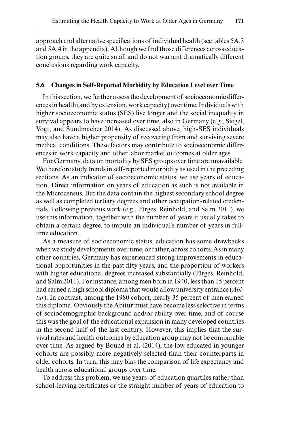approach and alternative specifications of individual health (see tables 5A.3 and 5A.4 in the appendix). Although we find those differences across education groups, they are quite small and do not warrant dramatically different conclusions regarding work capacity.

# **5.6 Changes in Self-Reported Morbidity by Education Level over Time**

In this section, we further assess the development of socioeconomic differences in health (and by extension, work capacity) over time. Individuals with higher socioeconomic status (SES) live longer and the social inequality in survival appears to have increased over time, also in Germany (e.g., Siegel, Vogt, and Sundmacher 2014). As discussed above, high-SES individuals may also have a higher propensity of recovering from and surviving severe medical conditions. These factors may contribute to socioeconomic differences in work capacity and other labor market outcomes at older ages.

For Germany, data on mortality by SES groups over time are unavailable. We therefore study trends in self-reported morbidity as used in the preceding sections. As an indicator of socioeconomic status, we use years of education. Direct information on years of education as such is not available in the Microcensus. But the data contain the highest secondary school degree as well as completed tertiary degrees and other occupation-related credentials. Following previous work (e.g., Jürges, Reinhold, and Salm 2011), we use this information, together with the number of years it usually takes to obtain a certain degree, to impute an individual's number of years in fulltime education.

As a measure of socioeconomic status, education has some drawbacks when we study developments over time, or rather, across cohorts. As in many other countries, Germany has experienced strong improvements in educational opportunities in the past fifty years, and the proportion of workers with higher educational degrees increased substantially (Jürges, Reinhold, and Salm 2011). For instance, among men born in 1940, less than 15 percent had earned a high school diploma that would allow university entrance (*Abitur*). In contrast, among the 1980 cohort, nearly 35 percent of men earned this diploma. Obviously the Abitur must have become less selective in terms of sociodemographic background and/or ability over time, and of course this was the goal of the educational expansion in many developed countries in the second half of the last century. However, this implies that the survival rates and health outcomes by education group may not be comparable over time. As argued by Bound et al. (2014), the low educated in younger cohorts are possibly more negatively selected than their counterparts in older cohorts. In turn, this may bias the comparison of life expectancy and health across educational groups over time.

To address this problem, we use years-of-education quartiles rather than school-leaving certificates or the straight number of years of education to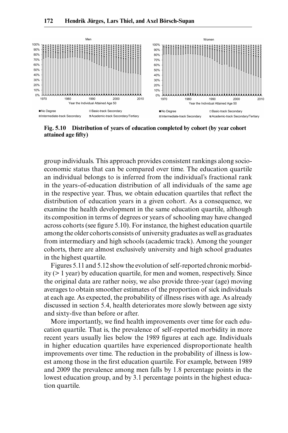

**Fig. 5.10 Distribution of years of education completed by cohort (by year cohort attained age fifty)**

group individuals. This approach provides consistent rankings along socioeconomic status that can be compared over time. The education quartile an individual belongs to is inferred from the individual's fractional rank in the years-of-education distribution of all individuals of the same age in the respective year. Thus, we obtain education quartiles that reflect the distribution of education years in a given cohort. As a consequence, we examine the health development in the same education quartile, although its composition in terms of degrees or years of schooling may have changed across cohorts (see figure 5.10). For instance, the highest education quartile among the older cohorts consists of university graduates as well as graduates from intermediary and high schools (academic track). Among the younger cohorts, there are almost exclusively university and high school graduates in the highest quartile.

Figures 5.11 and 5.12 show the evolution of self-reported chronic morbidity (> 1 year) by education quartile, for men and women, respectively. Since the original data are rather noisy, we also provide three-year (age) moving averages to obtain smoother estimates of the proportion of sick individuals at each age. As expected, the probability of illness rises with age. As already discussed in section 5.4, health deteriorates more slowly between age sixty and sixty-five than before or after.

More importantly, we find health improvements over time for each education quartile. That is, the prevalence of self-reported morbidity in more recent years usually lies below the 1989 figures at each age. Individuals in higher education quartiles have experienced disproportionate health improvements over time. The reduction in the probability of illness is lowest among those in the first education quartile. For example, between 1989 and 2009 the prevalence among men falls by 1.8 percentage points in the lowest education group, and by 3.1 percentage points in the highest education quartile.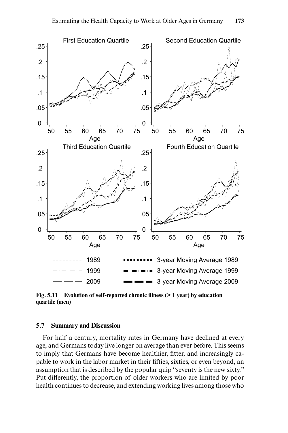

**Fig. 5.11 Evolution of self-reported chronic illness (> 1 year) by education quartile (men)**

## **5.7 Summary and Discussion**

For half a century, mortality rates in Germany have declined at every age, and Germans today live longer on average than ever before. This seems to imply that Germans have become healthier, fitter, and increasingly capable to work in the labor market in their fifties, sixties, or even beyond, an assumption that is described by the popular quip "seventy is the new sixty." Put differently, the proportion of older workers who are limited by poor health continues to decrease, and extending working lives among those who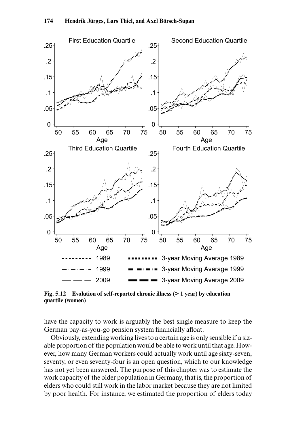

**Fig. 5.12 Evolution of self-reported chronic illness (> 1 year) by education quartile (women)**

have the capacity to work is arguably the best single measure to keep the German pay-as-you-go pension system financially afloat.

Obviously, extending working lives to a certain age is only sensible if a sizable proportion of the population would be able to work until that age. However, how many German workers could actually work until age sixty-seven, seventy, or even seventy-four is an open question, which to our knowledge has not yet been answered. The purpose of this chapter was to estimate the work capacity of the older population in Germany, that is, the proportion of elders who could still work in the labor market because they are not limited by poor health. For instance, we estimated the proportion of elders today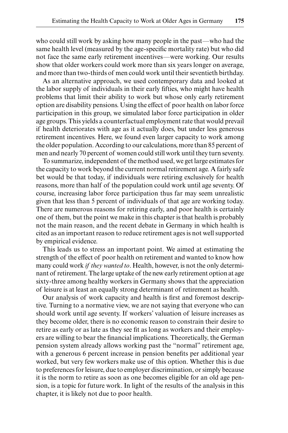who could still work by asking how many people in the past—who had the same health level (measured by the age-specific mortality rate) but who did not face the same early retirement incentives—were working. Our results show that older workers could work more than six years longer on average, and more than two-thirds of men could work until their seventieth birthday.

As an alternative approach, we used contemporary data and looked at the labor supply of individuals in their early fifties, who might have health problems that limit their ability to work but whose only early retirement option are disability pensions. Using the effect of poor health on labor force participation in this group, we simulated labor force participation in older age groups. This yields a counterfactual employment rate that would prevail if health deteriorates with age as it actually does, but under less generous retirement incentives. Here, we found even larger capacity to work among the older population. According to our calculations, more than 85 percent of men and nearly 70 percent of women could still work until they turn seventy.

To summarize, independent of the method used, we get large estimates for the capacity to work beyond the current normal retirement age. A fairly safe bet would be that today, if individuals were retiring exclusively for health reasons, more than half of the population could work until age seventy. Of course, increasing labor force participation thus far may seem unrealistic given that less than 5 percent of individuals of that age are working today. There are numerous reasons for retiring early, and poor health is certainly one of them, but the point we make in this chapter is that health is probably not the main reason, and the recent debate in Germany in which health is cited as an important reason to reduce retirement ages is not well supported by empirical evidence.

This leads us to stress an important point. We aimed at estimating the strength of the effect of poor health on retirement and wanted to know how many could work *if they wanted to*. Health, however, is not the only determinant of retirement. The large uptake of the new early retirement option at age sixty-three among healthy workers in Germany shows that the appreciation of leisure is at least an equally strong determinant of retirement as health.

Our analysis of work capacity and health is first and foremost descriptive. Turning to a normative view, we are not saying that everyone who can should work until age seventy. If workers' valuation of leisure increases as they become older, there is no economic reason to constrain their desire to retire as early or as late as they see fit as long as workers and their employers are willing to bear the financial implications. Theoretically, the German pension system already allows working past the "normal" retirement age, with a generous 6 percent increase in pension benefits per additional year worked, but very few workers make use of this option. Whether this is due to preferences for leisure, due to employer discrimination, or simply because it is the norm to retire as soon as one becomes eligible for an old age pension, is a topic for future work. In light of the results of the analysis in this chapter, it is likely not due to poor health.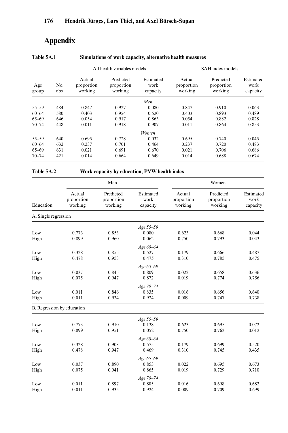# **Appendix**

|              |             |                                 | All health variables models        |                               |                                 | SAH index models                   |                               |  |  |
|--------------|-------------|---------------------------------|------------------------------------|-------------------------------|---------------------------------|------------------------------------|-------------------------------|--|--|
| Age<br>group | No.<br>obs. | Actual<br>proportion<br>working | Predicted<br>proportion<br>working | Estimated<br>work<br>capacity | Actual<br>proportion<br>working | Predicted<br>proportion<br>working | Estimated<br>work<br>capacity |  |  |
|              |             |                                 |                                    | Men                           |                                 |                                    |                               |  |  |
| $55 - 59$    | 484         | 0.847                           | 0.927                              | 0.080                         | 0.847                           | 0.910                              | 0.063                         |  |  |
| $60 - 64$    | 580         | 0.403                           | 0.924                              | 0.520                         | 0.403                           | 0.893                              | 0.489                         |  |  |
| $65 - 69$    | 646         | 0.054                           | 0.917                              | 0.863                         | 0.054                           | 0.882                              | 0.828                         |  |  |
| $70 - 74$    | 448         | 0.011                           | 0.918                              | 0.907                         | 0.011                           | 0.864                              | 0.853                         |  |  |
|              |             |                                 |                                    | <b>Women</b>                  |                                 |                                    |                               |  |  |
| $55 - 59$    | 640         | 0.695                           | 0.728                              | 0.032                         | 0.695                           | 0.740                              | 0.045                         |  |  |
| $60 - 64$    | 632         | 0.237                           | 0.701                              | 0.464                         | 0.237                           | 0.720                              | 0.483                         |  |  |
| $65 - 69$    | 631         | 0.021                           | 0.691                              | 0.670                         | 0.021                           | 0.706                              | 0.686                         |  |  |
| $70 - 74$    | 421         | 0.014                           | 0.664                              | 0.649                         | 0.014                           | 0.688                              | 0.674                         |  |  |

| Table 5A.1 |  | Simulations of work capacity, alternative health measures |
|------------|--|-----------------------------------------------------------|
|            |  |                                                           |

**Table 5A.2 Work capacity by education, PVW health index**

| Education            | Men                             |                                    |                               | Women                           |                                    |                               |
|----------------------|---------------------------------|------------------------------------|-------------------------------|---------------------------------|------------------------------------|-------------------------------|
|                      | Actual<br>proportion<br>working | Predicted<br>proportion<br>working | Estimated<br>work<br>capacity | Actual<br>proportion<br>working | Predicted<br>proportion<br>working | Estimated<br>work<br>capacity |
| A. Single regression |                                 |                                    |                               |                                 |                                    |                               |
|                      |                                 |                                    | Age 55-59                     |                                 |                                    |                               |
| Low                  | 0.773                           | 0.853                              | 0.080                         | 0.623                           | 0.668                              | 0.044                         |
| High                 | 0.899                           | 0.960                              | 0.062                         | 0.750                           | 0.793                              | 0.043                         |
|                      |                                 |                                    | Age 60-64                     |                                 |                                    |                               |
| Low                  | 0.328                           | 0.855                              | 0.527                         | 0.179                           | 0.666                              | 0.487                         |
| High                 | 0.478                           | 0.953                              | 0.475                         | 0.310                           | 0.785                              | 0.475                         |
|                      |                                 |                                    | Age 65-69                     |                                 |                                    |                               |
| Low                  | 0.037                           | 0.845                              | 0.809                         | 0.022                           | 0.658                              | 0.636                         |
| High                 | 0.075                           | 0.947                              | 0.872                         | 0.019                           | 0.774                              | 0.756                         |
|                      |                                 |                                    | Age 70-74                     |                                 |                                    |                               |
| Low                  | 0.011                           | 0.846                              | 0.835                         | 0.016                           | 0.656                              | 0.640                         |
| High                 | 0.011                           | 0.934                              | 0.924                         | 0.009                           | 0.747                              | 0.738                         |
|                      | B. Regression by education      |                                    |                               |                                 |                                    |                               |
|                      |                                 |                                    | Age 55-59                     |                                 |                                    |                               |
| Low                  | 0.773                           | 0.910                              | 0.138                         | 0.623                           | 0.695                              | 0.072                         |
| High                 | 0.899                           | 0.951                              | 0.052                         | 0.750                           | 0.762                              | 0.012                         |
|                      |                                 |                                    | Age 60-64                     |                                 |                                    |                               |
| Low                  | 0.328                           | 0.903                              | 0.575                         | 0.179                           | 0.699                              | 0.520                         |
| High                 | 0.478                           | 0.947                              | 0.469                         | 0.310                           | 0.745                              | 0.435                         |
|                      |                                 |                                    | Age 65-69                     |                                 |                                    |                               |
| Low                  | 0.037                           | 0.890                              | 0.853                         | 0.022                           | 0.695                              | 0.673                         |
| High                 | 0.075                           | 0.941                              | 0.865                         | 0.019                           | 0.729                              | 0.710                         |
|                      |                                 |                                    | Age 70-74                     |                                 |                                    |                               |
| Low                  | 0.011                           | 0.897                              | 0.885                         | 0.016                           | 0.698                              | 0.682                         |
| High                 | 0.011                           | 0.935                              | 0.924                         | 0.009                           | 0.709                              | 0.699                         |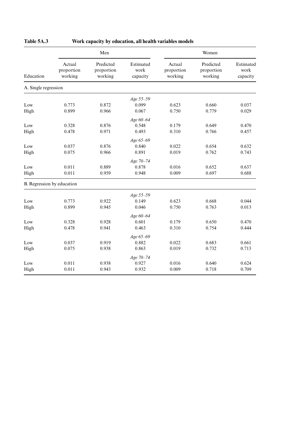| Women                         |                                    |                                 | Men                             |                                    |                                 |                            |
|-------------------------------|------------------------------------|---------------------------------|---------------------------------|------------------------------------|---------------------------------|----------------------------|
| Estimated<br>work<br>capacity | Predicted<br>proportion<br>working | Actual<br>proportion<br>working | Estimated<br>work<br>capacity   | Predicted<br>proportion<br>working | Actual<br>proportion<br>working | Education                  |
|                               |                                    |                                 |                                 |                                    |                                 | A. Single regression       |
|                               |                                    |                                 | Age 55-59                       |                                    |                                 |                            |
| 0.037                         | 0.660                              | 0.623                           | 0.099                           | 0.872                              | 0.773                           | Low                        |
| 0.029                         | 0.779                              | 0.750                           | 0.067                           | 0.966                              | 0.899                           | High                       |
|                               |                                    |                                 | Age 60-64                       |                                    |                                 |                            |
| 0.470                         | 0.649                              | 0.179                           | 0.548                           | 0.876                              | 0.328                           | Low                        |
| 0.457                         | 0.766                              | 0.310                           | 0.493                           | 0.971                              | 0.478                           | High                       |
|                               |                                    |                                 | Age 65-69                       |                                    |                                 |                            |
| 0.632                         | 0.654                              | 0.022                           | 0.840                           | 0.876                              | 0.037                           | Low                        |
| 0.743                         | 0.762                              | 0.019                           | 0.891                           | 0.966                              | 0.075                           | High                       |
|                               |                                    |                                 |                                 |                                    |                                 |                            |
| 0.637                         |                                    |                                 |                                 |                                    |                                 |                            |
| 0.688                         | 0.697                              | 0.009                           | 0.948                           | 0.959                              | 0.011                           | High                       |
|                               |                                    |                                 |                                 |                                    |                                 | B. Regression by education |
|                               |                                    |                                 |                                 |                                    |                                 |                            |
| 0.044                         | 0.668                              | 0.623                           | 0.149                           | 0.922                              | 0.773                           | Low                        |
| 0.013                         | 0.763                              | 0.750                           | 0.046                           | 0.945                              | 0.899                           | High                       |
|                               |                                    |                                 | Age 60-64                       |                                    |                                 |                            |
| 0.470                         | 0.650                              | 0.179                           | 0.601                           | 0.928                              | 0.328                           | Low                        |
| 0.444                         | 0.754                              | 0.310                           | 0.463                           | 0.941                              | 0.478                           | High                       |
|                               |                                    |                                 | Age 65-69                       |                                    |                                 |                            |
| 0.661                         | 0.683                              | 0.022                           | 0.882                           | 0.919                              | 0.037                           | Low                        |
| 0.713                         | 0.732                              | 0.019                           | 0.863                           | 0.938                              | 0.075                           | High                       |
|                               |                                    |                                 | Age 70-74                       |                                    |                                 |                            |
| 0.624                         | 0.640                              | 0.016                           | 0.927                           | 0.938                              | 0.011                           | Low                        |
| 0.709                         | 0.718                              | 0.009                           | 0.932                           | 0.943                              | 0.011                           | High                       |
|                               | 0.652                              | 0.016                           | Age 70-74<br>0.878<br>Age 55-59 | 0.889                              | 0.011                           | Low                        |

# **Table 5A.3 Work capacity by education, all health variables models**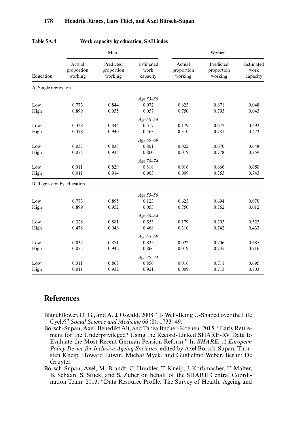| Education                  | Men                             |                                    |                               | Women                           |                                    |                               |  |
|----------------------------|---------------------------------|------------------------------------|-------------------------------|---------------------------------|------------------------------------|-------------------------------|--|
|                            | Actual<br>proportion<br>working | Predicted<br>proportion<br>working | Estimated<br>work<br>capacity | Actual<br>proportion<br>working | Predicted<br>proportion<br>working | Estimated<br>work<br>capacity |  |
| A. Single regression       |                                 |                                    |                               |                                 |                                    |                               |  |
|                            |                                 |                                    | Age 55-59                     |                                 |                                    |                               |  |
| Low                        | 0.773                           | 0.844                              | 0.072                         | 0.623                           | 0.671                              | 0.048                         |  |
| High                       | 0.899                           | 0.955                              | 0.057                         | 0.750                           | 0.793                              | 0.043                         |  |
|                            |                                 |                                    | Age 60-64                     |                                 |                                    |                               |  |
| Low                        | 0.328                           | 0.844                              | 0.517                         | 0.179                           | 0.672                              | 0.492                         |  |
| High                       | 0.478                           | 0.940                              | 0.463                         | 0.310                           | 0.781                              | 0.472                         |  |
|                            |                                 |                                    | Age 65-69                     |                                 |                                    |                               |  |
| Low                        | 0.037                           | 0.838                              | 0.801                         | 0.022                           | 0.670                              | 0.648                         |  |
| High                       | 0.075                           | 0.935                              | 0.860                         | 0.019                           | 0.778                              | 0.759                         |  |
|                            |                                 |                                    | Age 70-74                     |                                 |                                    |                               |  |
| Low                        | 0.011                           | 0.829                              | 0.818                         | 0.016                           | 0.666                              | 0.650                         |  |
| High                       | 0.011                           | 0.914                              | 0.903                         | 0.009                           | 0.753                              | 0.743                         |  |
| B. Regression by education |                                 |                                    |                               |                                 |                                    |                               |  |
|                            |                                 |                                    | Age 55-59                     |                                 |                                    |                               |  |
| Low                        | 0.773                           | 0.895                              | 0.123                         | 0.623                           | 0.694                              | 0.070                         |  |
| High                       | 0.899                           | 0.952                              | 0.053                         | 0.750                           | 0.762                              | 0.012                         |  |
|                            |                                 |                                    | Age 60-64                     |                                 |                                    |                               |  |
| Low                        | 0.328                           | 0.881                              | 0.553                         | 0.179                           | 0.703                              | 0.523                         |  |
| High                       | 0.478                           | 0.946                              | 0.468                         | 0.310                           | 0.742                              | 0.433                         |  |
|                            |                                 |                                    | Age 65-69                     |                                 |                                    |                               |  |
| Low                        | 0.037                           | 0.871                              | 0.835                         | 0.022                           | 0.706                              | 0.685                         |  |
| High                       | 0.075                           | 0.942                              | 0.866                         | 0.019                           | 0.735                              | 0.716                         |  |
|                            |                                 |                                    | Age 70-74                     |                                 |                                    |                               |  |
| Low                        | 0.011                           | 0.867                              | 0.856                         | 0.016                           | 0.711                              | 0.695                         |  |
| High                       | 0.011                           | 0.932                              | 0.921                         | 0.009                           | 0.713                              | 0.703                         |  |

#### **Table 5A.4 Work capacity by education, SAH index**

# **References**

- Blanchflower, D. G., and A. J. Oswald. 2008. "Is Well-Being U-Shaped over the Life Cycle?" *Social Science and Medicine* 66 (8): 1733–49.
- Börsch-Supan, Axel, Benedikt Alt, and Tabea Bucher-Koenen. 2015. "Early Retirement for the Underprivileged? Using the Record-Linked SHARE-RV Data to Evaluate the Most Recent German Pension Reform." In *SHARE: A European Policy Device for Inclusive Ageing Societies*, edited by Axel Börsch-Supan, Thorsten Kneip, Howard Litwin, Michał Myck, and Guglielmo Weber. Berlin: De Gruyter.

Börsch-Supan, Axel, M. Brandt, C. Hunkler, T. Kneip, J. Korbmacher, F. Malter, B. Schaan, S. Stuck, and S. Zuber on behalf of the SHARE Central Coordination Team. 2013. "Data Resource Profile: The Survey of Health, Ageing and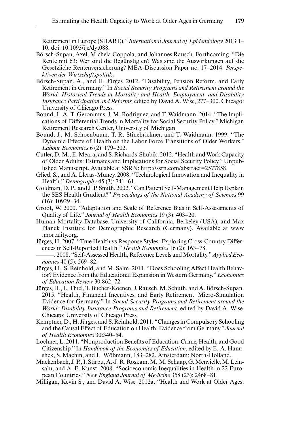Retirement in Europe (SHARE)." *International Journal of Epidemiology* 2013:1– 10. doi: 10.1093/ije/dyt088.

- Börsch-Supan, Axel, Michela Coppola, and Johannes Rausch. Forthcoming. "Die Rente mit 63: Wer sind die Begünstigten? Was sind die Auswirkungen auf die Gesetzliche Rentenversicherung? MEA-Discussion Paper no. 17–2014. *Perspektiven der Wirtschaftspolitik*.
- Börsch-Supan, A., and H. Jürges. 2012. "Disability, Pension Reform, and Early Retirement in Germany." In *Social Security Programs and Retirement around the World: Historical Trends in Mortality and Health, Employment, and Disability Insurance Participation and Reforms,* edited by David A. Wise, 277–300. Chicago: University of Chicago Press.
- Bound, J., A. T. Geronimus, J. M. Rodriguez, and T. Waidmann. 2014. "The Implications of Differential Trends in Mortality for Social Security Policy." Michigan Retirement Research Center, University of Michigan.
- Bound, J., M. Schoenbaum, T. R. Stinebrickner, and T. Waidmann. 1999. "The Dynamic Effects of Health on the Labor Force Transitions of Older Workers." *Labour Economics* 6 (2): 179–202.
- Cutler, D. M., E. Meara, and S. Richards-Shubik. 2012. "Health and Work Capacity of Older Adults: Estimates and Implications for Social Security Policy." Unpublished Manuscript. Available at SSRN: http://ssrn.com/abstract=2577858.
- Glied, S., and A. Lleras-Muney. 2008. "Technological Innovation and Inequality in Health." *Demography* 45 (3): 741–61.
- Goldman, D. P., and J. P. Smith. 2002. "Can Patient Self-Management Help Explain the SES Health Gradient?" *Proceedings of the National Academy of Sciences* 99 (16): 10929–34.
- Groot, W. 2000. "Adaptation and Scale of Reference Bias in Self-Assessments of Quality of Life." *Journal of Health Economics* 19 (3): 403–20.
- Human Mortality Database. University of California, Berkeley (USA), and Max Planck Institute for Demographic Research (Germany). Available at www .mortality.org.
- Jürges, H. 2007. "True Health vs Response Styles: Exploring Cross-Country Differences in Self-Reported Health." *Health Economics* 16 (2): 163–78.
- ———. 2008. "Self-Assessed Health, Reference Levels and Mortality." *Applied Economics* 40 (5): 569–82.
- Jürges, H., S. Reinhold, and M. Salm. 2011. "Does Schooling Affect Health Behavior? Evidence from the Educational Expansion in Western Germany." *Economics of Education Review* 30:862–72.
- Jürges, H., L. Thiel, T. Bucher-Koenen, J. Rausch, M. Schuth, and A. Börsch-Supan. 2015. "Health, Financial Incentives, and Early Retirement: Micro-Simulation Evidence for Germany." In *Social Security Programs and Retirement around the World: Disability Insurance Programs and Retirement*, edited by David A. Wise. Chicago: University of Chicago Press.
- Kemptner, D., H. Jürges, and S. Reinhold. 2011. "Changes in Compulsory Schooling and the Causal Effect of Education on Health: Evidence from Germany." *Journal of Health Economics* 30:340–54.
- Lochner, L. 2011. "Nonproduction Benefits of Education: Crime, Health, and Good Citizenship." In *Handbook of the Economics of Education*, edited by E. A. Hanushek, S. Machin, and L. Wößmann, 183–282. Amsterdam: North-Holland.
- Mackenbach, J. P., I. Stirbu, A.-J. R. Roskam, M. M. Schaap, G. Menvielle, M. Leinsalu, and A. E. Kunst. 2008. "Socioeconomic Inequalities in Health in 22 European Countries." *New England Journal of Medicine* 358 (23): 2468–81.
- Milligan, Kevin S., and David A. Wise. 2012a. "Health and Work at Older Ages: